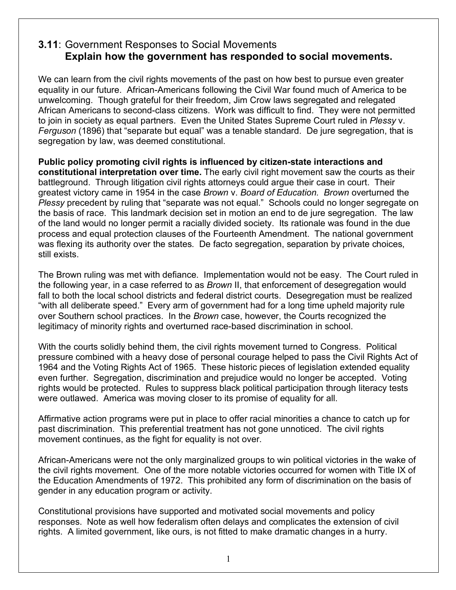## **3.11**: Government Responses to Social Movements **Explain how the government has responded to social movements.**

We can learn from the civil rights movements of the past on how best to pursue even greater equality in our future. African-Americans following the Civil War found much of America to be unwelcoming. Though grateful for their freedom, Jim Crow laws segregated and relegated African Americans to second-class citizens. Work was difficult to find. They were not permitted to join in society as equal partners. Even the United States Supreme Court ruled in *Plessy* v. *Ferguson* (1896) that "separate but equal" was a tenable standard. De jure segregation, that is segregation by law, was deemed constitutional.

**Public policy promoting civil rights is influenced by citizen-state interactions and constitutional interpretation over time.** The early civil right movement saw the courts as their battleground. Through litigation civil rights attorneys could argue their case in court. Their greatest victory came in 1954 in the case *Brown* v. *Board of Education. Brown* overturned the *Plessy* precedent by ruling that "separate was not equal." Schools could no longer segregate on the basis of race. This landmark decision set in motion an end to de jure segregation. The law of the land would no longer permit a racially divided society. Its rationale was found in the due process and equal protection clauses of the Fourteenth Amendment. The national government was flexing its authority over the states. De facto segregation, separation by private choices, still exists.

The Brown ruling was met with defiance. Implementation would not be easy. The Court ruled in the following year, in a case referred to as *Brown* II, that enforcement of desegregation would fall to both the local school districts and federal district courts. Desegregation must be realized "with all deliberate speed." Every arm of government had for a long time upheld majority rule over Southern school practices. In the *Brown* case, however, the Courts recognized the legitimacy of minority rights and overturned race-based discrimination in school.

With the courts solidly behind them, the civil rights movement turned to Congress. Political pressure combined with a heavy dose of personal courage helped to pass the Civil Rights Act of 1964 and the Voting Rights Act of 1965. These historic pieces of legislation extended equality even further. Segregation, discrimination and prejudice would no longer be accepted. Voting rights would be protected. Rules to suppress black political participation through literacy tests were outlawed. America was moving closer to its promise of equality for all.

Affirmative action programs were put in place to offer racial minorities a chance to catch up for past discrimination. This preferential treatment has not gone unnoticed. The civil rights movement continues, as the fight for equality is not over.

African-Americans were not the only marginalized groups to win political victories in the wake of the civil rights movement. One of the more notable victories occurred for women with Title IX of the Education Amendments of 1972. This prohibited any form of discrimination on the basis of gender in any education program or activity.

Constitutional provisions have supported and motivated social movements and policy responses. Note as well how federalism often delays and complicates the extension of civil rights. A limited government, like ours, is not fitted to make dramatic changes in a hurry.